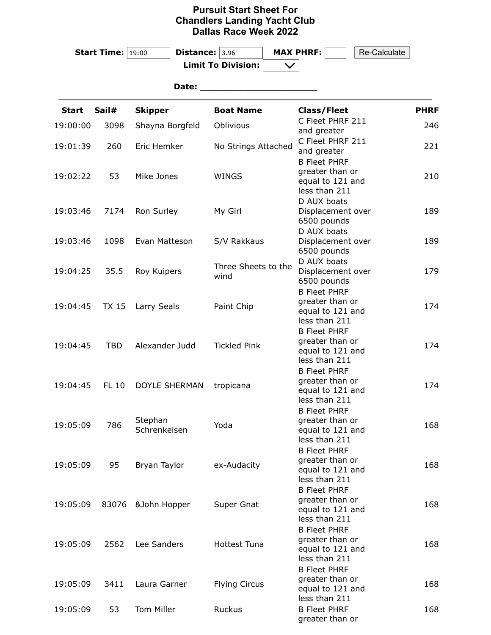## **Pursuit Start Sheet For Chandlers Landing Yacht Club Dallas Race Week 2022**

|              | <b>Start Time:</b> $19:00$ | <b>Distance:</b> $3.96$ |                           |                                  | <b>MAX PHRF:</b>                       | Re-Calculate |             |  |  |  |  |
|--------------|----------------------------|-------------------------|---------------------------|----------------------------------|----------------------------------------|--------------|-------------|--|--|--|--|
|              |                            |                         | <b>Limit To Division:</b> |                                  |                                        |              |             |  |  |  |  |
|              |                            |                         |                           |                                  |                                        |              |             |  |  |  |  |
| Date:        |                            |                         |                           |                                  |                                        |              |             |  |  |  |  |
| <b>Start</b> | Sail#                      | <b>Skipper</b>          | <b>Boat Name</b>          |                                  | <b>Class/Fleet</b>                     |              | <b>PHRF</b> |  |  |  |  |
| 19:00:00     | 3098                       | Shayna Borgfeld         | Oblivious                 |                                  | C Fleet PHRF 211                       |              | 246         |  |  |  |  |
|              |                            |                         |                           |                                  | and greater<br>C Fleet PHRF 211        |              |             |  |  |  |  |
| 19:01:39     | 260                        | Eric Hemker             | No Strings Attached       | and greater                      |                                        | 221          |             |  |  |  |  |
|              |                            |                         |                           | <b>B Fleet PHRF</b>              |                                        |              |             |  |  |  |  |
| 19:02:22     | 53                         | Mike Jones              | <b>WINGS</b>              | greater than or                  |                                        | 210          |             |  |  |  |  |
|              |                            |                         |                           |                                  | equal to 121 and                       |              |             |  |  |  |  |
|              |                            |                         |                           | less than 211                    |                                        |              |             |  |  |  |  |
| 19:03:46     | 7174                       | Ron Surley              | My Girl                   | D AUX boats<br>Displacement over |                                        | 189          |             |  |  |  |  |
|              |                            |                         |                           | 6500 pounds                      |                                        |              |             |  |  |  |  |
|              |                            |                         |                           | D AUX boats                      |                                        |              |             |  |  |  |  |
| 19:03:46     | 1098                       | Evan Matteson           | S/V Rakkaus               |                                  | Displacement over                      |              | 189         |  |  |  |  |
|              |                            |                         |                           | 6500 pounds                      |                                        |              |             |  |  |  |  |
|              | 35.5                       |                         | Three Sheets to the       |                                  | D AUX boats                            |              | 179         |  |  |  |  |
| 19:04:25     |                            | Roy Kuipers             | wind                      |                                  | Displacement over<br>6500 pounds       |              |             |  |  |  |  |
|              |                            |                         |                           |                                  | <b>B Fleet PHRF</b>                    |              |             |  |  |  |  |
|              | <b>TX 15</b>               | Larry Seals             | Paint Chip                |                                  | greater than or                        |              | 174         |  |  |  |  |
| 19:04:45     |                            |                         |                           |                                  | equal to 121 and                       |              |             |  |  |  |  |
|              |                            |                         |                           |                                  | less than 211                          |              |             |  |  |  |  |
|              |                            |                         |                           |                                  | <b>B Fleet PHRF</b><br>greater than or |              |             |  |  |  |  |
| 19:04:45     | <b>TBD</b>                 | Alexander Judd          | <b>Tickled Pink</b>       |                                  | equal to 121 and                       |              | 174         |  |  |  |  |
|              |                            |                         |                           |                                  | less than 211                          |              |             |  |  |  |  |
|              |                            |                         |                           |                                  | <b>B Fleet PHRF</b>                    |              |             |  |  |  |  |
| 19:04:45     | <b>FL 10</b>               | <b>DOYLE SHERMAN</b>    | tropicana                 |                                  | greater than or                        |              | 174         |  |  |  |  |
|              |                            |                         |                           |                                  | equal to 121 and<br>less than 211      |              |             |  |  |  |  |
|              |                            |                         |                           |                                  | <b>B Fleet PHRF</b>                    |              |             |  |  |  |  |
|              |                            | Stephan                 |                           |                                  | greater than or                        |              |             |  |  |  |  |
| 19:05:09     | 786                        | Schrenkeisen            | Yoda                      |                                  | equal to 121 and                       |              | 168         |  |  |  |  |
|              |                            |                         |                           |                                  | less than 211                          |              |             |  |  |  |  |
|              |                            |                         |                           |                                  | <b>B Fleet PHRF</b>                    |              |             |  |  |  |  |
| 19:05:09     | 95                         | Bryan Taylor            | ex-Audacity               |                                  | greater than or<br>equal to 121 and    |              | 168         |  |  |  |  |
|              |                            |                         |                           |                                  | less than 211                          |              |             |  |  |  |  |
|              |                            |                         |                           |                                  | <b>B Fleet PHRF</b>                    |              |             |  |  |  |  |
| 19:05:09     | 83076                      | &John Hopper            | Super Gnat                |                                  | greater than or                        |              | 168         |  |  |  |  |
|              |                            |                         |                           |                                  | equal to 121 and                       |              |             |  |  |  |  |
|              |                            |                         |                           |                                  | less than 211<br><b>B Fleet PHRF</b>   |              |             |  |  |  |  |
| 19:05:09     |                            |                         |                           |                                  | greater than or                        |              |             |  |  |  |  |
|              | 2562                       | Lee Sanders             | <b>Hottest Tuna</b>       |                                  | equal to 121 and                       |              | 168         |  |  |  |  |
|              |                            |                         |                           |                                  | less than 211                          |              |             |  |  |  |  |
|              |                            |                         |                           |                                  | <b>B Fleet PHRF</b>                    |              |             |  |  |  |  |
| 19:05:09     | 3411                       | Laura Garner            | <b>Flying Circus</b>      |                                  | greater than or                        |              | 168         |  |  |  |  |
|              |                            |                         |                           |                                  | equal to 121 and<br>less than 211      |              |             |  |  |  |  |
| 19:05:09     | 53                         | Tom Miller              | Ruckus                    |                                  | <b>B Fleet PHRF</b>                    |              | 168         |  |  |  |  |
|              |                            |                         |                           |                                  | greater than or                        |              |             |  |  |  |  |